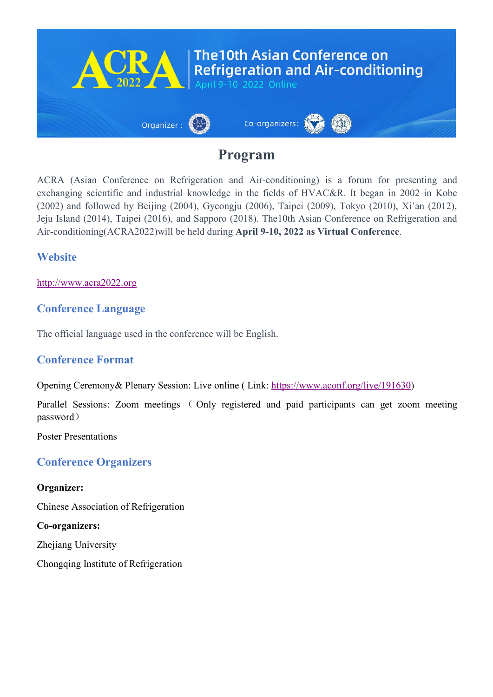

## **Program**

ACRA (Asian Conference on Refrigeration and Air-conditioning) is a forum for presenting and exchanging scientific and industrial knowledge in the fields of HVAC&R. It began in 2002 in Kobe (2002) and followed by Beijing (2004), Gyeongju (2006), Taipei (2009), Tokyo (2010), Xi'an (2012), Jeju Island (2014), Taipei (2016), and Sapporo (2018). The10th Asian Conference on Refrigeration and Air-conditioning(ACRA2022)will be held during **April 9-10, 2022 as Virtual Conference**.

## **Website**

<http://www.acra2022.org>

## **Conference Language**

The official language used in the conference will be English.

### **Conference Format**

Opening Ceremony& Plenary Session: Live online ( Link: <https://www.aconf.org/live/191630>)

Parallel Sessions: Zoom meetings ( Only registered and paid participants can get zoom meeting password)

Poster Presentations

### **Conference Organizers**

#### **Organizer:**

Chinese Association of Refrigeration

**Co-organizers:**

Zhejiang University

Chongqing Institute of Refrigeration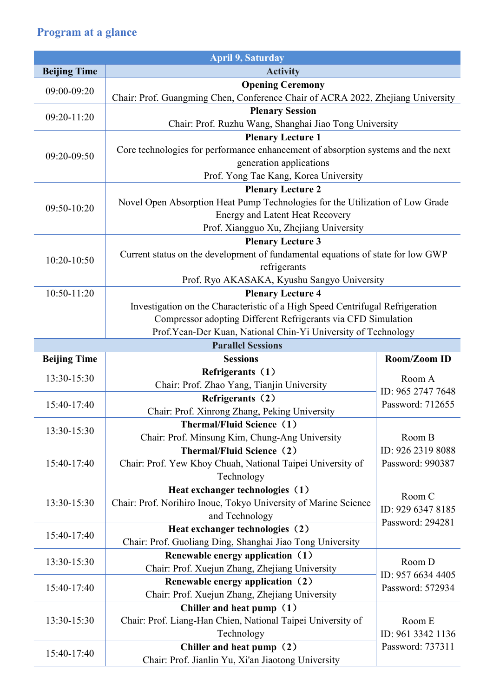# **Program at a glance**

|                     | <b>April 9, Saturday</b>                                                                                  |                             |  |  |  |
|---------------------|-----------------------------------------------------------------------------------------------------------|-----------------------------|--|--|--|
| <b>Beijing Time</b> | <b>Activity</b>                                                                                           |                             |  |  |  |
| 09:00-09:20         | <b>Opening Ceremony</b>                                                                                   |                             |  |  |  |
|                     | Chair: Prof. Guangming Chen, Conference Chair of ACRA 2022, Zhejiang University                           |                             |  |  |  |
| $09:20 - 11:20$     | <b>Plenary Session</b>                                                                                    |                             |  |  |  |
|                     | Chair: Prof. Ruzhu Wang, Shanghai Jiao Tong University                                                    |                             |  |  |  |
|                     | <b>Plenary Lecture 1</b>                                                                                  |                             |  |  |  |
| 09:20-09:50         | Core technologies for performance enhancement of absorption systems and the next                          |                             |  |  |  |
|                     | generation applications                                                                                   |                             |  |  |  |
|                     | Prof. Yong Tae Kang, Korea University                                                                     |                             |  |  |  |
|                     | <b>Plenary Lecture 2</b>                                                                                  |                             |  |  |  |
| 09:50-10:20         | Novel Open Absorption Heat Pump Technologies for the Utilization of Low Grade                             |                             |  |  |  |
|                     | <b>Energy and Latent Heat Recovery</b>                                                                    |                             |  |  |  |
|                     | Prof. Xiangguo Xu, Zhejiang University                                                                    |                             |  |  |  |
|                     | <b>Plenary Lecture 3</b>                                                                                  |                             |  |  |  |
| 10:20-10:50         | Current status on the development of fundamental equations of state for low GWP                           |                             |  |  |  |
|                     | refrigerants                                                                                              |                             |  |  |  |
| $10:50 - 11:20$     | Prof. Ryo AKASAKA, Kyushu Sangyo University                                                               |                             |  |  |  |
|                     | <b>Plenary Lecture 4</b><br>Investigation on the Characteristic of a High Speed Centrifugal Refrigeration |                             |  |  |  |
|                     | Compressor adopting Different Refrigerants via CFD Simulation                                             |                             |  |  |  |
|                     | Prof. Yean-Der Kuan, National Chin-Yi University of Technology                                            |                             |  |  |  |
|                     | <b>Parallel Sessions</b>                                                                                  |                             |  |  |  |
| <b>Beijing Time</b> | <b>Sessions</b>                                                                                           | Room/Zoom ID                |  |  |  |
|                     | Refrigerants (1)                                                                                          |                             |  |  |  |
| 13:30-15:30         | Chair: Prof. Zhao Yang, Tianjin University                                                                | Room A                      |  |  |  |
|                     | Refrigerants (2)                                                                                          | ID: 965 2747 7648           |  |  |  |
| 15:40-17:40         | Chair: Prof. Xinrong Zhang, Peking University                                                             | Password: 712655            |  |  |  |
|                     | Thermal/Fluid Science (1)                                                                                 |                             |  |  |  |
| 13:30-15:30         | Chair: Prof. Minsung Kim, Chung-Ang University                                                            | Room B                      |  |  |  |
|                     | Thermal/Fluid Science (2)                                                                                 | ID: 926 2319 8088           |  |  |  |
| 15:40-17:40         | Chair: Prof. Yew Khoy Chuah, National Taipei University of                                                | Password: 990387            |  |  |  |
|                     | Technology                                                                                                |                             |  |  |  |
|                     | Heat exchanger technologies (1)                                                                           |                             |  |  |  |
| 13:30-15:30         | Chair: Prof. Norihiro Inoue, Tokyo University of Marine Science                                           | Room C                      |  |  |  |
|                     | and Technology                                                                                            | ID: 929 6347 8185           |  |  |  |
|                     | Heat exchanger technologies (2)                                                                           | Password: 294281            |  |  |  |
| 15:40-17:40         | Chair: Prof. Guoliang Ding, Shanghai Jiao Tong University                                                 |                             |  |  |  |
|                     | Renewable energy application (1)                                                                          |                             |  |  |  |
| 13:30-15:30         | Chair: Prof. Xuejun Zhang, Zhejiang University                                                            | Room D<br>ID: 957 6634 4405 |  |  |  |
|                     | Renewable energy application (2)                                                                          | Password: 572934            |  |  |  |
| $15:40-17:40$       | Chair: Prof. Xuejun Zhang, Zhejiang University                                                            |                             |  |  |  |
|                     | Chiller and heat pump (1)                                                                                 |                             |  |  |  |
| 13:30-15:30         | Chair: Prof. Liang-Han Chien, National Taipei University of                                               | Room E                      |  |  |  |
|                     | Technology                                                                                                | ID: 961 3342 1136           |  |  |  |
| 15:40-17:40         | Chiller and heat pump (2)                                                                                 | Password: 737311            |  |  |  |
|                     | Chair: Prof. Jianlin Yu, Xi'an Jiaotong University                                                        |                             |  |  |  |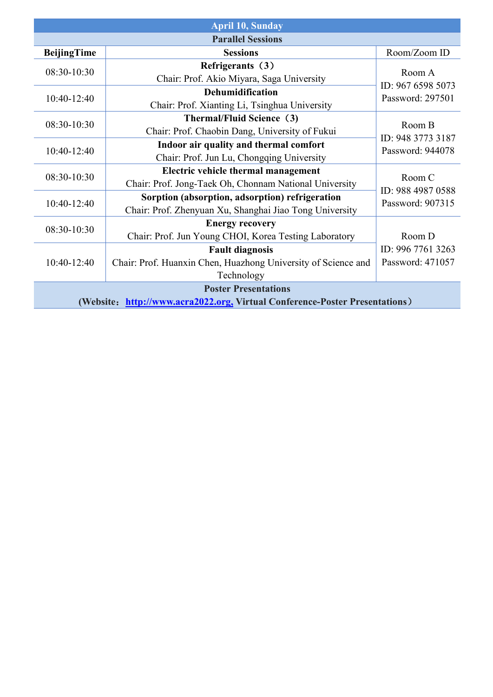|                    | <b>April 10, Sunday</b>                                                     |                                                 |  |
|--------------------|-----------------------------------------------------------------------------|-------------------------------------------------|--|
|                    | <b>Parallel Sessions</b>                                                    |                                                 |  |
| <b>BeijingTime</b> | <b>Sessions</b>                                                             | Room/Zoom ID                                    |  |
|                    | Refrigerants (3)                                                            | Room A<br>ID: 967 6598 5073                     |  |
| 08:30-10:30        | Chair: Prof. Akio Miyara, Saga University                                   |                                                 |  |
|                    | <b>Dehumidification</b>                                                     |                                                 |  |
| 10:40-12:40        | Chair: Prof. Xianting Li, Tsinghua University                               | Password: 297501                                |  |
|                    | Thermal/Fluid Science (3)                                                   |                                                 |  |
| 08:30-10:30        | Chair: Prof. Chaobin Dang, University of Fukui                              | Room B<br>ID: 948 3773 3187<br>Password: 944078 |  |
| $10:40-12:40$      | Indoor air quality and thermal comfort                                      |                                                 |  |
|                    | Chair: Prof. Jun Lu, Chongqing University                                   |                                                 |  |
|                    | Electric vehicle thermal management                                         | Room C                                          |  |
| 08:30-10:30        | Chair: Prof. Jong-Taek Oh, Chonnam National University                      |                                                 |  |
|                    | Sorption (absorption, adsorption) refrigeration                             | ID: 988 4987 0588                               |  |
| 10:40-12:40        | Chair: Prof. Zhenyuan Xu, Shanghai Jiao Tong University                     | Password: 907315                                |  |
| 08:30-10:30        | <b>Energy recovery</b>                                                      |                                                 |  |
|                    | Chair: Prof. Jun Young CHOI, Korea Testing Laboratory                       | Room D                                          |  |
|                    | <b>Fault diagnosis</b>                                                      | ID: 996 7761 3263                               |  |
| $10:40-12:40$      | Chair: Prof. Huanxin Chen, Huazhong University of Science and               | Password: 471057                                |  |
|                    | Technology                                                                  |                                                 |  |
|                    | <b>Poster Presentations</b>                                                 |                                                 |  |
|                    | (Website: http://www.acra2022.org, Virtual Conference-Poster Presentations) |                                                 |  |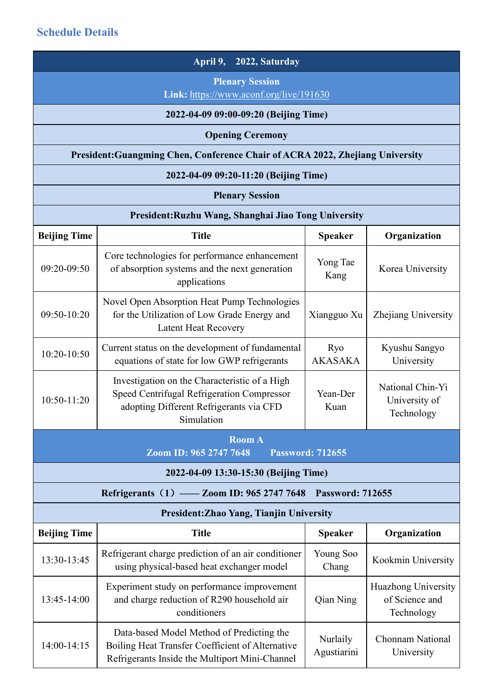|                     | April 9,<br>2022, Saturday                                                                                                                           |                         |                                                     |
|---------------------|------------------------------------------------------------------------------------------------------------------------------------------------------|-------------------------|-----------------------------------------------------|
|                     | <b>Plenary Session</b><br>Link: https://www.aconf.org/live/191630                                                                                    |                         |                                                     |
|                     | 2022-04-09 09:00-09:20 (Beijing Time)                                                                                                                |                         |                                                     |
|                     | <b>Opening Ceremony</b>                                                                                                                              |                         |                                                     |
|                     | President: Guangming Chen, Conference Chair of ACRA 2022, Zhejiang University                                                                        |                         |                                                     |
|                     | 2022-04-09 09:20-11:20 (Beijing Time)                                                                                                                |                         |                                                     |
|                     | <b>Plenary Session</b>                                                                                                                               |                         |                                                     |
|                     | President: Ruzhu Wang, Shanghai Jiao Tong University                                                                                                 |                         |                                                     |
| <b>Beijing Time</b> | <b>Title</b>                                                                                                                                         | <b>Speaker</b>          | Organization                                        |
| 09:20-09:50         | Core technologies for performance enhancement<br>of absorption systems and the next generation<br>applications                                       | Yong Tae<br>Kang        | Korea University                                    |
| 09:50-10:20         | Novel Open Absorption Heat Pump Technologies<br>for the Utilization of Low Grade Energy and<br><b>Latent Heat Recovery</b>                           | Xiangguo Xu             | Zhejiang University                                 |
| 10:20-10:50         | Current status on the development of fundamental<br>equations of state for low GWP refrigerants                                                      | Ryo<br><b>AKASAKA</b>   | Kyushu Sangyo<br>University                         |
| $10:50-11:20$       | Investigation on the Characteristic of a High<br>Speed Centrifugal Refrigeration Compressor<br>adopting Different Refrigerants via CFD<br>Simulation | Yean-Der<br>Kuan        | National Chin-Yi<br>University of<br>Technology     |
|                     | <b>Room A</b><br>Zoom ID: 965 2747 7648                                                                                                              | <b>Password: 712655</b> |                                                     |
|                     | 2022-04-09 13:30-15:30 (Beijing Time)                                                                                                                |                         |                                                     |
|                     | Refrigerants (1) — Zoom ID: 965 2747 7648                                                                                                            | <b>Password: 712655</b> |                                                     |
|                     | President: Zhao Yang, Tianjin University                                                                                                             |                         |                                                     |
| <b>Beijing Time</b> | <b>Title</b>                                                                                                                                         | <b>Speaker</b>          | Organization                                        |
| 13:30-13:45         | Refrigerant charge prediction of an air conditioner<br>using physical-based heat exchanger model                                                     | Young Soo<br>Chang      | Kookmin University                                  |
| 13:45-14:00         | Experiment study on performance improvement<br>and charge reduction of R290 household air<br>conditioners                                            | Qian Ning               | Huazhong University<br>of Science and<br>Technology |
| 14:00-14:15         | Data-based Model Method of Predicting the<br>Boiling Heat Transfer Coefficient of Alternative<br>Refrigerants Inside the Multiport Mini-Channel      | Nurlaily<br>Agustiarini | Chonnam National<br>University                      |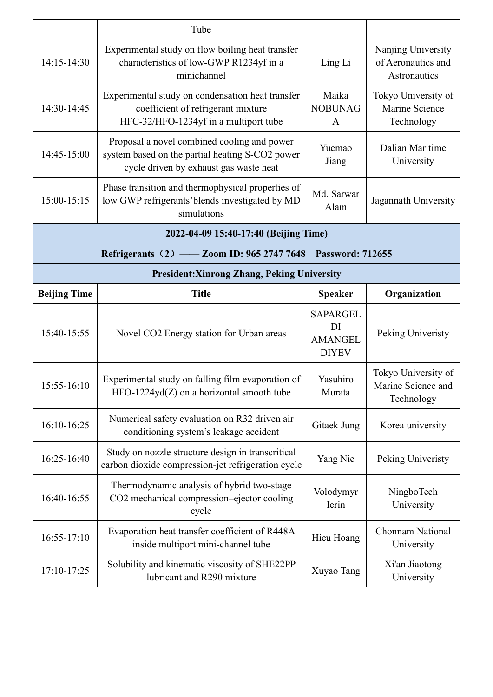|                     | Tube                                                                                                                                     |                                                         |                                                          |
|---------------------|------------------------------------------------------------------------------------------------------------------------------------------|---------------------------------------------------------|----------------------------------------------------------|
| 14:15-14:30         | Experimental study on flow boiling heat transfer<br>characteristics of low-GWP R1234yf in a<br>minichannel                               | Ling Li                                                 | Nanjing University<br>of Aeronautics and<br>Astronautics |
| 14:30-14:45         | Experimental study on condensation heat transfer<br>coefficient of refrigerant mixture<br>HFC-32/HFO-1234yf in a multiport tube          | Maika<br><b>NOBUNAG</b><br>$\mathbf{A}$                 | Tokyo University of<br>Marine Science<br>Technology      |
| 14:45-15:00         | Proposal a novel combined cooling and power<br>system based on the partial heating S-CO2 power<br>cycle driven by exhaust gas waste heat | Yuemao<br>Jiang                                         | Dalian Maritime<br>University                            |
| 15:00-15:15         | Phase transition and thermophysical properties of<br>low GWP refrigerants' blends investigated by MD<br>simulations                      | Md. Sarwar<br>Alam                                      | Jagannath University                                     |
|                     | 2022-04-09 15:40-17:40 (Beijing Time)                                                                                                    |                                                         |                                                          |
|                     | Refrigerants (2) - Zoom ID: 965 2747 7648 Password: 712655                                                                               |                                                         |                                                          |
|                     | <b>President: Xinrong Zhang, Peking University</b>                                                                                       |                                                         |                                                          |
| <b>Beijing Time</b> | <b>Title</b>                                                                                                                             | <b>Speaker</b>                                          | Organization                                             |
| 15:40-15:55         | Novel CO2 Energy station for Urban areas                                                                                                 | <b>SAPARGEL</b><br>DI<br><b>AMANGEL</b><br><b>DIYEV</b> | Peking Univeristy                                        |
| $15:55-16:10$       | Experimental study on falling film evaporation of<br>$HFO-1224yd(Z)$ on a horizontal smooth tube                                         | Yasuhiro<br>Murata                                      | Tokyo University of<br>Marine Science and<br>Technology  |
| 16:10-16:25         | Numerical safety evaluation on R32 driven air<br>conditioning system's leakage accident                                                  | Gitaek Jung                                             | Korea university                                         |
| 16:25-16:40         | Study on nozzle structure design in transcritical<br>carbon dioxide compression-jet refrigeration cycle                                  | Yang Nie                                                | Peking Univeristy                                        |
| 16:40-16:55         | Thermodynamic analysis of hybrid two-stage<br>CO2 mechanical compression-ejector cooling<br>cycle                                        | Volodymyr<br>Ierin                                      | NingboTech<br>University                                 |
| 16:55-17:10         | Evaporation heat transfer coefficient of R448A<br>inside multiport mini-channel tube                                                     | Hieu Hoang                                              | Chonnam National<br>University                           |
| 17:10-17:25         | Solubility and kinematic viscosity of SHE22PP<br>lubricant and R290 mixture                                                              | Xuyao Tang                                              | Xi'an Jiaotong<br>University                             |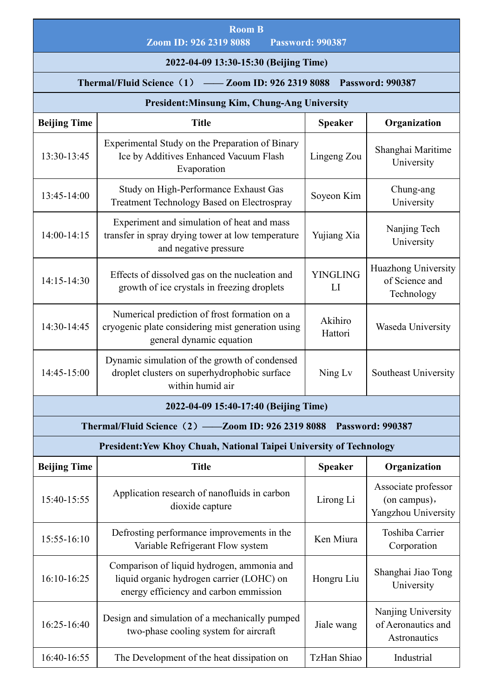|                     | <b>Room B</b><br>Zoom ID: 926 2319 8088                                                                                           | <b>Password: 990387</b> |                                                            |
|---------------------|-----------------------------------------------------------------------------------------------------------------------------------|-------------------------|------------------------------------------------------------|
|                     | 2022-04-09 13:30-15:30 (Beijing Time)                                                                                             |                         |                                                            |
|                     | Thermal/Fluid Science (1) - Zoom ID: 926 2319 8088 Password: 990387                                                               |                         |                                                            |
|                     | <b>President:Minsung Kim, Chung-Ang University</b>                                                                                |                         |                                                            |
| <b>Beijing Time</b> | <b>Title</b>                                                                                                                      | <b>Speaker</b>          | Organization                                               |
| 13:30-13:45         | Experimental Study on the Preparation of Binary<br>Ice by Additives Enhanced Vacuum Flash<br>Evaporation                          | Lingeng Zou             | Shanghai Maritime<br>University                            |
| 13:45-14:00         | Study on High-Performance Exhaust Gas<br><b>Treatment Technology Based on Electrospray</b>                                        | Soyeon Kim              | Chung-ang<br>University                                    |
| 14:00-14:15         | Experiment and simulation of heat and mass<br>transfer in spray drying tower at low temperature<br>and negative pressure          | Yujiang Xia             | Nanjing Tech<br>University                                 |
| 14:15-14:30         | Effects of dissolved gas on the nucleation and<br>growth of ice crystals in freezing droplets                                     | <b>YINGLING</b><br>LI   | Huazhong University<br>of Science and<br>Technology        |
| 14:30-14:45         | Numerical prediction of frost formation on a<br>cryogenic plate considering mist generation using<br>general dynamic equation     | Akihiro<br>Hattori      | Waseda University                                          |
| 14:45-15:00         | Dynamic simulation of the growth of condensed<br>droplet clusters on superhydrophobic surface<br>within humid air                 | Ning Lv                 | Southeast University                                       |
|                     | 2022-04-09 15:40-17:40 (Beijing Time)                                                                                             |                         |                                                            |
|                     | Thermal/Fluid Science (2) -Zoom ID: 926 2319 8088 Password: 990387                                                                |                         |                                                            |
|                     | President: Yew Khoy Chuah, National Taipei University of Technology                                                               |                         |                                                            |
| <b>Beijing Time</b> | <b>Title</b>                                                                                                                      | <b>Speaker</b>          | Organization                                               |
| 15:40-15:55         | Application research of nanofluids in carbon<br>dioxide capture                                                                   | Lirong Li               | Associate professor<br>(on campus),<br>Yangzhou University |
| 15:55-16:10         | Defrosting performance improvements in the<br>Variable Refrigerant Flow system                                                    | Ken Miura               | Toshiba Carrier<br>Corporation                             |
| 16:10-16:25         | Comparison of liquid hydrogen, ammonia and<br>liquid organic hydrogen carrier (LOHC) on<br>energy efficiency and carbon emmission | Hongru Liu              | Shanghai Jiao Tong<br>University                           |
| 16:25-16:40         | Design and simulation of a mechanically pumped<br>two-phase cooling system for aircraft                                           | Jiale wang              | Nanjing University<br>of Aeronautics and<br>Astronautics   |
| 16:40-16:55         | The Development of the heat dissipation on                                                                                        | TzHan Shiao             | Industrial                                                 |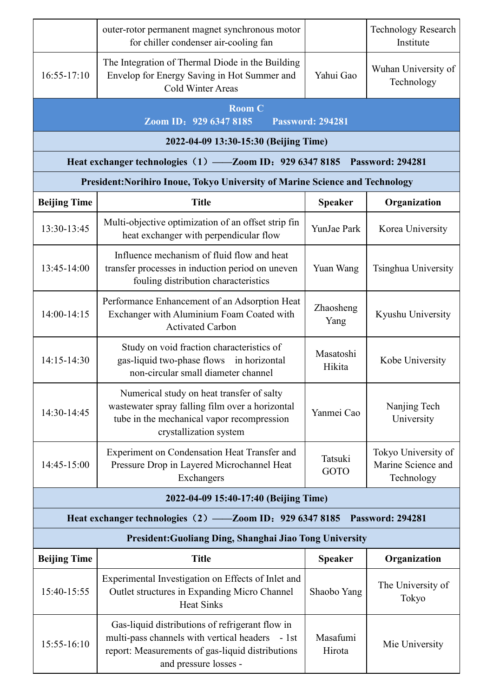|                     | outer-rotor permanent magnet synchronous motor<br>for chiller condenser air-cooling fan                                                                                         |                         | <b>Technology Research</b><br>Institute                 |
|---------------------|---------------------------------------------------------------------------------------------------------------------------------------------------------------------------------|-------------------------|---------------------------------------------------------|
| $16:55-17:10$       | The Integration of Thermal Diode in the Building<br>Envelop for Energy Saving in Hot Summer and<br><b>Cold Winter Areas</b>                                                     | Yahui Gao               | Wuhan University of<br>Technology                       |
|                     | <b>Room C</b><br>Zoom ID: 929 6347 8185                                                                                                                                         | <b>Password: 294281</b> |                                                         |
|                     | 2022-04-09 13:30-15:30 (Beijing Time)                                                                                                                                           |                         |                                                         |
|                     | Heat exchanger technologies (1) -Zoom ID: 929 6347 8185 Password: 294281                                                                                                        |                         |                                                         |
|                     | President: Norihiro Inoue, Tokyo University of Marine Science and Technology                                                                                                    |                         |                                                         |
| <b>Beijing Time</b> | <b>Title</b>                                                                                                                                                                    | <b>Speaker</b>          | Organization                                            |
| 13:30-13:45         | Multi-objective optimization of an offset strip fin<br>heat exchanger with perpendicular flow                                                                                   | YunJae Park             | Korea University                                        |
| 13:45-14:00         | Influence mechanism of fluid flow and heat<br>transfer processes in induction period on uneven<br>fouling distribution characteristics                                          | Yuan Wang               | Tsinghua University                                     |
| 14:00-14:15         | Performance Enhancement of an Adsorption Heat<br>Exchanger with Aluminium Foam Coated with<br><b>Activated Carbon</b>                                                           | Zhaosheng<br>Yang       | Kyushu University                                       |
| $14:15-14:30$       | Study on void fraction characteristics of<br>gas-liquid two-phase flows in horizontal<br>non-circular small diameter channel                                                    | Masatoshi<br>Hikita     | Kobe University                                         |
| 14:30-14:45         | Numerical study on heat transfer of salty<br>wastewater spray falling film over a horizontal<br>tube in the mechanical vapor recompression<br>crystallization system            | Yanmei Cao              | Nanjing Tech<br>University                              |
| 14:45-15:00         | Experiment on Condensation Heat Transfer and<br>Pressure Drop in Layered Microchannel Heat<br>Exchangers                                                                        | Tatsuki<br>GOTO         | Tokyo University of<br>Marine Science and<br>Technology |
|                     | 2022-04-09 15:40-17:40 (Beijing Time)                                                                                                                                           |                         |                                                         |
|                     | Heat exchanger technologies (2) — Zoom ID: 929 6347 8185 Password: 294281                                                                                                       |                         |                                                         |
|                     | President: Guoliang Ding, Shanghai Jiao Tong University                                                                                                                         |                         |                                                         |
| <b>Beijing Time</b> | <b>Title</b>                                                                                                                                                                    | <b>Speaker</b>          | Organization                                            |
| 15:40-15:55         | Experimental Investigation on Effects of Inlet and<br>Outlet structures in Expanding Micro Channel<br><b>Heat Sinks</b>                                                         | Shaobo Yang             | The University of<br>Tokyo                              |
| 15:55-16:10         | Gas-liquid distributions of refrigerant flow in<br>multi-pass channels with vertical headers - 1st<br>report: Measurements of gas-liquid distributions<br>and pressure losses - | Masafumi<br>Hirota      | Mie University                                          |
|                     |                                                                                                                                                                                 |                         |                                                         |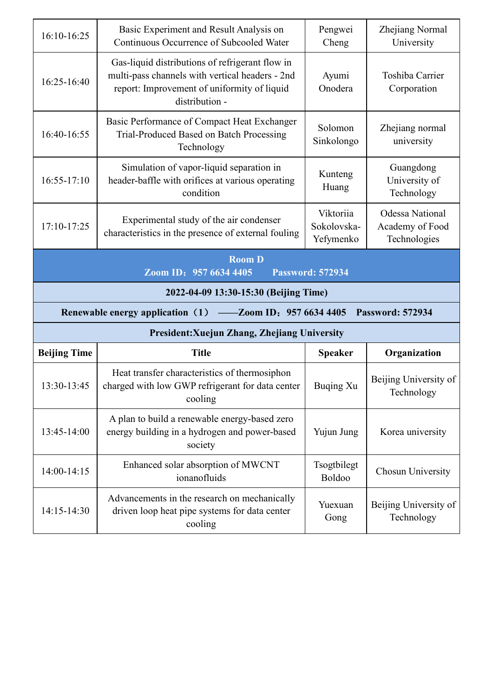| 16:10-16:25         | Basic Experiment and Result Analysis on<br>Continuous Occurrence of Subcooled Water                                                                                 | Pengwei<br>Cheng                      | Zhejiang Normal<br>University                             |
|---------------------|---------------------------------------------------------------------------------------------------------------------------------------------------------------------|---------------------------------------|-----------------------------------------------------------|
| 16:25-16:40         | Gas-liquid distributions of refrigerant flow in<br>multi-pass channels with vertical headers - 2nd<br>report: Improvement of uniformity of liquid<br>distribution - | Ayumi<br>Onodera                      | Toshiba Carrier<br>Corporation                            |
| 16:40-16:55         | Basic Performance of Compact Heat Exchanger<br>Trial-Produced Based on Batch Processing<br>Technology                                                               | Solomon<br>Sinkolongo                 | Zhejiang normal<br>university                             |
| $16:55 - 17:10$     | Simulation of vapor-liquid separation in<br>header-baffle with orifices at various operating<br>condition                                                           | Kunteng<br>Huang                      | Guangdong<br>University of<br>Technology                  |
| 17:10-17:25         | Experimental study of the air condenser<br>characteristics in the presence of external fouling                                                                      | Viktoriia<br>Sokolovska-<br>Yefymenko | <b>Odessa National</b><br>Academy of Food<br>Technologies |
|                     | <b>Room D</b><br>Zoom ID: 957 6634 4405                                                                                                                             | <b>Password: 572934</b>               |                                                           |
|                     |                                                                                                                                                                     |                                       |                                                           |
|                     | 2022-04-09 13:30-15:30 (Beijing Time)                                                                                                                               |                                       |                                                           |
|                     | <b>Renewable energy application</b> (1)<br>-200m ID: 957 6634 4405                                                                                                  |                                       | <b>Password: 572934</b>                                   |
|                     | President: Xuejun Zhang, Zhejiang University                                                                                                                        |                                       |                                                           |
| <b>Beijing Time</b> | <b>Title</b>                                                                                                                                                        | <b>Speaker</b>                        | Organization                                              |
| 13:30-13:45         | Heat transfer characteristics of thermosiphon<br>charged with low GWP refrigerant for data center<br>cooling                                                        | <b>Buqing Xu</b>                      | Beijing University of<br>Technology                       |
| 13:45-14:00         | A plan to build a renewable energy-based zero<br>energy building in a hydrogen and power-based<br>society                                                           | Yujun Jung                            | Korea university                                          |
| 14:00-14:15         | Enhanced solar absorption of MWCNT<br>ionanofluids                                                                                                                  | Tsogtbilegt<br>Boldoo                 | Chosun University                                         |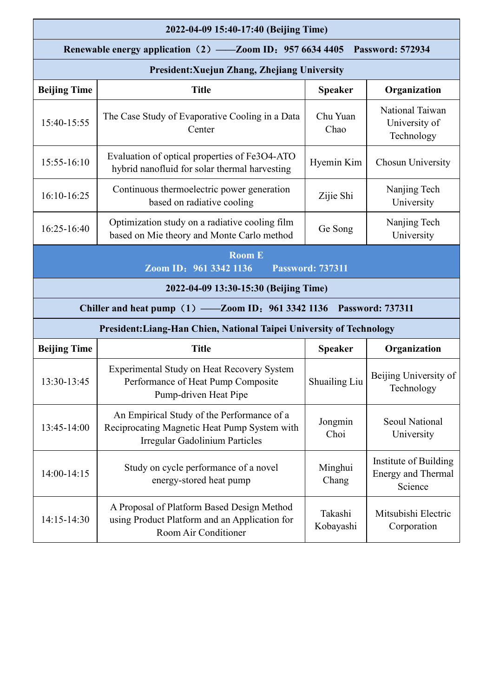|                     | 2022-04-09 15:40-17:40 (Beijing Time)                                                                                        |                         |                                                        |
|---------------------|------------------------------------------------------------------------------------------------------------------------------|-------------------------|--------------------------------------------------------|
|                     | Renewable energy application (2) — Zoom ID: 957 6634 4405 Password: 572934                                                   |                         |                                                        |
|                     | <b>President: Xuejun Zhang, Zhejiang University</b>                                                                          |                         |                                                        |
| <b>Beijing Time</b> | <b>Title</b>                                                                                                                 | <b>Speaker</b>          | Organization                                           |
| 15:40-15:55         | The Case Study of Evaporative Cooling in a Data<br>Center                                                                    | Chu Yuan<br>Chao        | National Taiwan<br>University of<br>Technology         |
| 15:55-16:10         | Evaluation of optical properties of Fe3O4-ATO<br>hybrid nanofluid for solar thermal harvesting                               | Hyemin Kim              | Chosun University                                      |
| 16:10-16:25         | Continuous thermoelectric power generation<br>based on radiative cooling                                                     | Zijie Shi               | Nanjing Tech<br>University                             |
| 16:25-16:40         | Optimization study on a radiative cooling film<br>based on Mie theory and Monte Carlo method                                 | Ge Song                 | Nanjing Tech<br>University                             |
|                     | <b>Room E</b><br>Zoom ID: 961 3342 1136                                                                                      | <b>Password: 737311</b> |                                                        |
|                     | 2022-04-09 13:30-15:30 (Beijing Time)                                                                                        |                         |                                                        |
|                     | Chiller and heat pump (1) — Zoom ID: 961 3342 1136 Password: 737311                                                          |                         |                                                        |
|                     | President: Liang-Han Chien, National Taipei University of Technology                                                         |                         |                                                        |
| <b>Beijing Time</b> | <b>Title</b>                                                                                                                 | <b>Speaker</b>          | Organization                                           |
| 13:30-13:45         | Experimental Study on Heat Recovery System<br>Performance of Heat Pump Composite<br>Pump-driven Heat Pipe                    | Shuailing Liu           | Beijing University of<br>Technology                    |
| 13:45-14:00         | An Empirical Study of the Performance of a<br>Reciprocating Magnetic Heat Pump System with<br>Irregular Gadolinium Particles | Jongmin<br>Choi         | <b>Seoul National</b><br>University                    |
| 14:00-14:15         | Study on cycle performance of a novel<br>energy-stored heat pump                                                             | Minghui<br>Chang        | Institute of Building<br>Energy and Thermal<br>Science |
| 14:15-14:30         | A Proposal of Platform Based Design Method<br>using Product Platform and an Application for<br>Room Air Conditioner          | Takashi<br>Kobayashi    | Mitsubishi Electric<br>Corporation                     |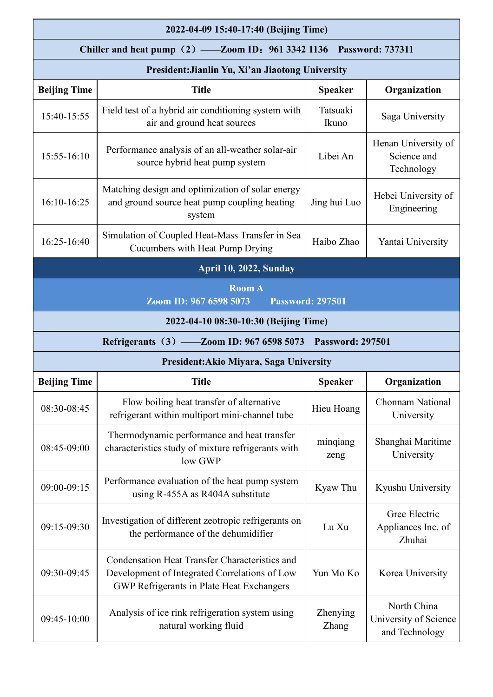|                                                  | 2022-04-09 15:40-17:40 (Beijing Time)                                                                                                                      |                         |                                                        |  |
|--------------------------------------------------|------------------------------------------------------------------------------------------------------------------------------------------------------------|-------------------------|--------------------------------------------------------|--|
|                                                  | Chiller and heat pump (2) — Zoom ID: 961 3342 1136 Password: 737311                                                                                        |                         |                                                        |  |
| President: Jianlin Yu, Xi'an Jiaotong University |                                                                                                                                                            |                         |                                                        |  |
| <b>Beijing Time</b>                              | <b>Title</b>                                                                                                                                               | <b>Speaker</b>          | Organization                                           |  |
| 15:40-15:55                                      | Field test of a hybrid air conditioning system with<br>air and ground heat sources                                                                         | Tatsuaki<br>Ikuno       | Saga University                                        |  |
| 15:55-16:10                                      | Performance analysis of an all-weather solar-air<br>source hybrid heat pump system                                                                         | Libei An                | Henan University of<br>Science and<br>Technology       |  |
| 16:10-16:25                                      | Matching design and optimization of solar energy<br>and ground source heat pump coupling heating<br>system                                                 | Jing hui Luo            | Hebei University of<br>Engineering                     |  |
| 16:25-16:40                                      | Simulation of Coupled Heat-Mass Transfer in Sea<br>Cucumbers with Heat Pump Drying                                                                         | Haibo Zhao              | Yantai University                                      |  |
|                                                  | April 10, 2022, Sunday                                                                                                                                     |                         |                                                        |  |
|                                                  | <b>Room A</b><br>Zoom ID: 967 6598 5073                                                                                                                    | <b>Password: 297501</b> |                                                        |  |
|                                                  | 2022-04-10 08:30-10:30 (Beijing Time)                                                                                                                      |                         |                                                        |  |
|                                                  | Refrigerants (3) - Zoom ID: 967 6598 5073 Password: 297501                                                                                                 |                         |                                                        |  |
|                                                  | President: Akio Miyara, Saga University                                                                                                                    |                         |                                                        |  |
| <b>Beijing Time</b>                              | <b>Title</b>                                                                                                                                               | <b>Speaker</b>          | Organization                                           |  |
| 08:30-08:45                                      | Flow boiling heat transfer of alternative<br>refrigerant within multiport mini-channel tube                                                                | Hieu Hoang              | Chonnam National<br>University                         |  |
| 08:45-09:00                                      | Thermodynamic performance and heat transfer<br>characteristics study of mixture refrigerants with<br>low GWP                                               | mingiang<br>zeng        | Shanghai Maritime<br>University                        |  |
| 09:00-09:15                                      | Performance evaluation of the heat pump system<br>using R-455A as R404A substitute                                                                         | Kyaw Thu                | Kyushu University                                      |  |
| 09:15-09:30                                      | Investigation of different zeotropic refrigerants on<br>the performance of the dehumidifier                                                                | Lu Xu                   | Gree Electric<br>Appliances Inc. of<br>Zhuhai          |  |
| 09:30-09:45                                      | <b>Condensation Heat Transfer Characteristics and</b><br>Development of Integrated Correlations of Low<br><b>GWP Refrigerants in Plate Heat Exchangers</b> | Yun Mo Ko               | Korea University                                       |  |
| 09:45-10:00                                      | Analysis of ice rink refrigeration system using<br>natural working fluid                                                                                   | Zhenying<br>Zhang       | North China<br>University of Science<br>and Technology |  |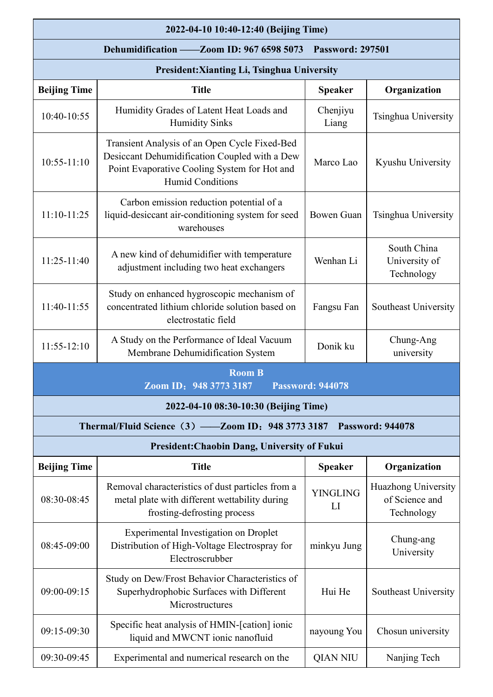|                     | 2022-04-10 10:40-12:40 (Beijing Time)                                                                                                                                     |                         |                                                     |
|---------------------|---------------------------------------------------------------------------------------------------------------------------------------------------------------------------|-------------------------|-----------------------------------------------------|
|                     | Dehumidification - Zoom ID: 967 6598 5073                                                                                                                                 | <b>Password: 297501</b> |                                                     |
|                     | President: Xianting Li, Tsinghua University                                                                                                                               |                         |                                                     |
| <b>Beijing Time</b> | <b>Title</b>                                                                                                                                                              | <b>Speaker</b>          | Organization                                        |
| 10:40-10:55         | Humidity Grades of Latent Heat Loads and<br><b>Humidity Sinks</b>                                                                                                         | Chenjiyu<br>Liang       | Tsinghua University                                 |
| $10:55 - 11:10$     | Transient Analysis of an Open Cycle Fixed-Bed<br>Desiccant Dehumidification Coupled with a Dew<br>Point Evaporative Cooling System for Hot and<br><b>Humid Conditions</b> | Marco Lao               | Kyushu University                                   |
| 11:10-11:25         | Carbon emission reduction potential of a<br>liquid-desiccant air-conditioning system for seed<br>warehouses                                                               | <b>Bowen Guan</b>       | Tsinghua University                                 |
| 11:25-11:40         | A new kind of dehumidifier with temperature<br>adjustment including two heat exchangers                                                                                   | Wenhan Li               | South China<br>University of<br>Technology          |
| 11:40-11:55         | Study on enhanced hygroscopic mechanism of<br>concentrated lithium chloride solution based on<br>electrostatic field                                                      | Fangsu Fan              | Southeast University                                |
| $11:55-12:10$       | A Study on the Performance of Ideal Vacuum<br>Membrane Dehumidification System                                                                                            | Donik ku                | Chung-Ang<br>university                             |
|                     | <b>Room B</b><br>Zoom ID: 948 3773 3187                                                                                                                                   | <b>Password: 944078</b> |                                                     |
|                     | 2022-04-10 08:30-10:30 (Beijing Time)                                                                                                                                     |                         |                                                     |
|                     | Thermal/Fluid Science (3) — Zoom ID: 948 3773 3187 Password: 944078                                                                                                       |                         |                                                     |
|                     | President: Chaobin Dang, University of Fukui                                                                                                                              |                         |                                                     |
| <b>Beijing Time</b> | <b>Title</b>                                                                                                                                                              | <b>Speaker</b>          | Organization                                        |
| 08:30-08:45         | Removal characteristics of dust particles from a<br>metal plate with different wettability during<br>frosting-defrosting process                                          | <b>YINGLING</b><br>LI   | Huazhong University<br>of Science and<br>Technology |
| 08:45-09:00         | <b>Experimental Investigation on Droplet</b><br>Distribution of High-Voltage Electrospray for<br>Electroscrubber                                                          | minkyu Jung             | Chung-ang<br>University                             |
| 09:00-09:15         | Study on Dew/Frost Behavior Characteristics of<br>Superhydrophobic Surfaces with Different<br>Microstructures                                                             | Hui He                  | Southeast University                                |
| 09:15-09:30         | Specific heat analysis of HMIN-[cation] ionic<br>liquid and MWCNT ionic nanofluid                                                                                         | nayoung You             | Chosun university                                   |
| 09:30-09:45         | Experimental and numerical research on the                                                                                                                                | <b>QIAN NIU</b>         | Nanjing Tech                                        |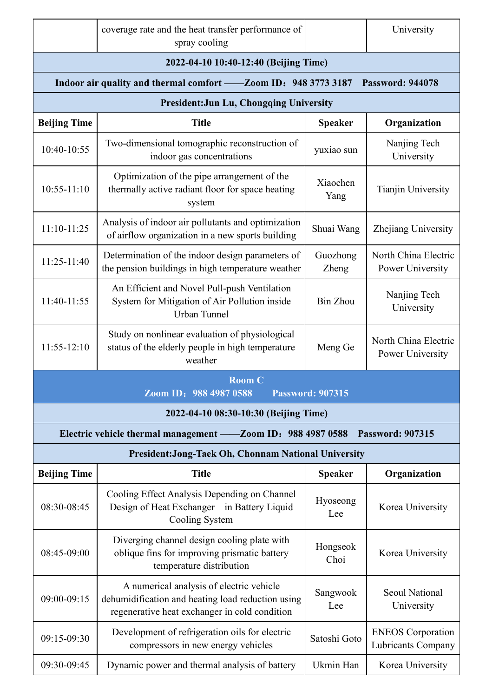|                     | coverage rate and the heat transfer performance of<br>spray cooling                                                                            |                         | University                                     |
|---------------------|------------------------------------------------------------------------------------------------------------------------------------------------|-------------------------|------------------------------------------------|
|                     | 2022-04-10 10:40-12:40 (Beijing Time)                                                                                                          |                         |                                                |
|                     | Indoor air quality and thermal comfort - Zoom ID: 948 3773 3187                                                                                |                         | <b>Password: 944078</b>                        |
|                     | <b>President:Jun Lu, Chongqing University</b>                                                                                                  |                         |                                                |
| <b>Beijing Time</b> | <b>Title</b>                                                                                                                                   | <b>Speaker</b>          | Organization                                   |
| 10:40-10:55         | Two-dimensional tomographic reconstruction of<br>indoor gas concentrations                                                                     | yuxiao sun              | Nanjing Tech<br>University                     |
| $10:55 - 11:10$     | Optimization of the pipe arrangement of the<br>thermally active radiant floor for space heating<br>system                                      | Xiaochen<br>Yang        | Tianjin University                             |
| $11:10-11:25$       | Analysis of indoor air pollutants and optimization<br>of airflow organization in a new sports building                                         | Shuai Wang              | Zhejiang University                            |
| 11:25-11:40         | Determination of the indoor design parameters of<br>the pension buildings in high temperature weather                                          | Guozhong<br>Zheng       | North China Electric<br>Power University       |
| 11:40-11:55         | An Efficient and Novel Pull-push Ventilation<br>System for Mitigation of Air Pollution inside<br><b>Urban Tunnel</b>                           | <b>Bin Zhou</b>         | Nanjing Tech<br>University                     |
| $11:55-12:10$       | Study on nonlinear evaluation of physiological<br>status of the elderly people in high temperature<br>weather                                  | Meng Ge                 | North China Electric<br>Power University       |
|                     | <b>Room C</b><br>Zoom ID: 988 4987 0588                                                                                                        | <b>Password: 907315</b> |                                                |
|                     | 2022-04-10 08:30-10:30 (Beijing Time)                                                                                                          |                         |                                                |
|                     | Electric vehicle thermal management — Zoom ID: 988 4987 0588                                                                                   |                         | <b>Password: 907315</b>                        |
|                     | <b>President:Jong-Taek Oh, Chonnam National University</b>                                                                                     |                         |                                                |
| <b>Beijing Time</b> | <b>Title</b>                                                                                                                                   | <b>Speaker</b>          | Organization                                   |
| 08:30-08:45         | Cooling Effect Analysis Depending on Channel<br>Design of Heat Exchanger in Battery Liquid<br>Cooling System                                   | Hyoseong<br>Lee         | Korea University                               |
| 08:45-09:00         | Diverging channel design cooling plate with<br>oblique fins for improving prismatic battery<br>temperature distribution                        | Hongseok<br>Choi        | Korea University                               |
| 09:00-09:15         | A numerical analysis of electric vehicle<br>dehumidification and heating load reduction using<br>regenerative heat exchanger in cold condition | Sangwook<br>Lee         | <b>Seoul National</b><br>University            |
| 09:15-09:30         | Development of refrigeration oils for electric<br>compressors in new energy vehicles                                                           | Satoshi Goto            | <b>ENEOS</b> Corporation<br>Lubricants Company |
| 09:30-09:45         | Dynamic power and thermal analysis of battery                                                                                                  | Ukmin Han               | Korea University                               |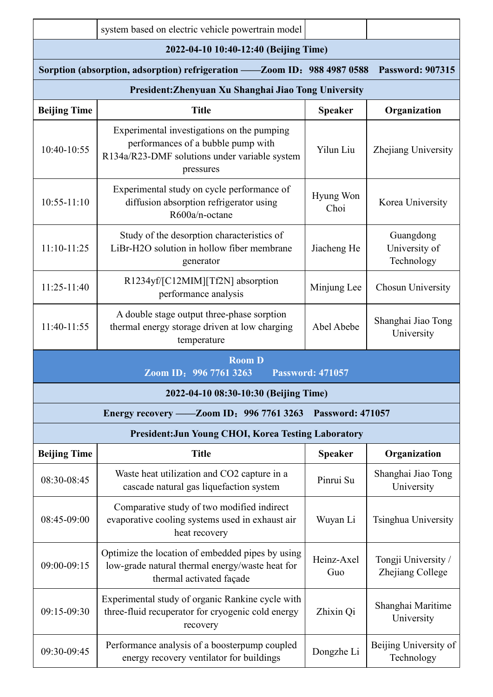|                     | system based on electric vehicle powertrain model                                                                                              |                         |                                          |
|---------------------|------------------------------------------------------------------------------------------------------------------------------------------------|-------------------------|------------------------------------------|
|                     | 2022-04-10 10:40-12:40 (Beijing Time)                                                                                                          |                         |                                          |
|                     | Sorption (absorption, adsorption) refrigeration - Zoom ID: 988 4987 0588                                                                       |                         | <b>Password: 907315</b>                  |
|                     | President: Zhenyuan Xu Shanghai Jiao Tong University                                                                                           |                         |                                          |
| <b>Beijing Time</b> | <b>Title</b>                                                                                                                                   | <b>Speaker</b>          | Organization                             |
| 10:40-10:55         | Experimental investigations on the pumping<br>performances of a bubble pump with<br>R134a/R23-DMF solutions under variable system<br>pressures | Yilun Liu               | Zhejiang University                      |
| $10:55 - 11:10$     | Experimental study on cycle performance of<br>diffusion absorption refrigerator using<br>R600a/n-octane                                        | Hyung Won<br>Choi       | Korea University                         |
| $11:10-11:25$       | Study of the desorption characteristics of<br>LiBr-H2O solution in hollow fiber membrane<br>generator                                          | Jiacheng He             | Guangdong<br>University of<br>Technology |
| $11:25-11:40$       | R1234yf/[C12MIM][Tf2N] absorption<br>performance analysis                                                                                      | Minjung Lee             | Chosun University                        |
| 11:40-11:55         | A double stage output three-phase sorption<br>thermal energy storage driven at low charging<br>temperature                                     | Abel Abebe              | Shanghai Jiao Tong<br>University         |
|                     | <b>Room D</b><br>Zoom ID: 996 7761 3263                                                                                                        | <b>Password: 471057</b> |                                          |
|                     | 2022-04-10 08:30-10:30 (Beijing Time)                                                                                                          |                         |                                          |
|                     | Energy recovery — Zoom ID: 996 7761 3263                                                                                                       | <b>Password: 471057</b> |                                          |
|                     | <b>President: Jun Young CHOI, Korea Testing Laboratory</b>                                                                                     |                         |                                          |
| <b>Beijing Time</b> | <b>Title</b>                                                                                                                                   | <b>Speaker</b>          | Organization                             |
| 08:30-08:45         | Waste heat utilization and CO2 capture in a<br>cascade natural gas liquefaction system                                                         | Pinrui Su               | Shanghai Jiao Tong<br>University         |
| 08:45-09:00         | Comparative study of two modified indirect<br>evaporative cooling systems used in exhaust air<br>heat recovery                                 | Wuyan Li                | Tsinghua University                      |
| 09:00-09:15         | Optimize the location of embedded pipes by using<br>low-grade natural thermal energy/waste heat for<br>thermal activated façade                | Heinz-Axel<br>Guo       | Tongji University /<br>Zhejiang College  |
| 09:15-09:30         | Experimental study of organic Rankine cycle with<br>three-fluid recuperator for cryogenic cold energy<br>recovery                              | Zhixin Qi               | Shanghai Maritime<br>University          |
| 09:30-09:45         | Performance analysis of a boosterpump coupled<br>energy recovery ventilator for buildings                                                      | Dongzhe Li              | Beijing University of<br>Technology      |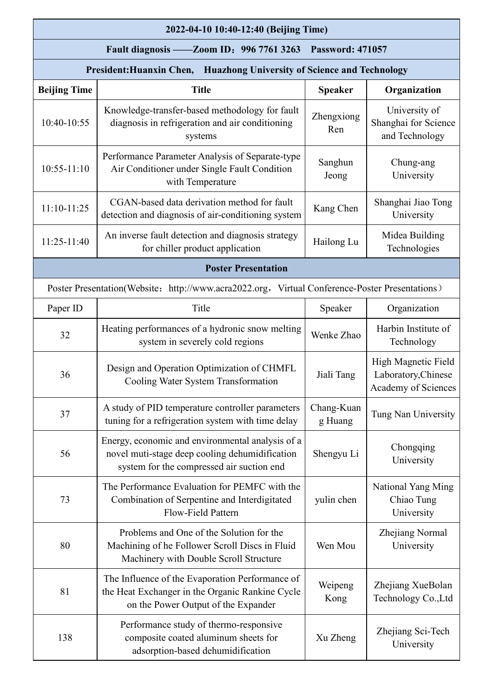|                                                                        | 2022-04-10 10:40-12:40 (Beijing Time)                                                                                                           |                         |                                                                   |  |  |  |  |  |
|------------------------------------------------------------------------|-------------------------------------------------------------------------------------------------------------------------------------------------|-------------------------|-------------------------------------------------------------------|--|--|--|--|--|
|                                                                        | $-Zoom ID: 996 7761 3263$<br>Fault diagnosis -                                                                                                  | <b>Password: 471057</b> |                                                                   |  |  |  |  |  |
| President: Huanxin Chen, Huazhong University of Science and Technology |                                                                                                                                                 |                         |                                                                   |  |  |  |  |  |
| <b>Beijing Time</b>                                                    | <b>Title</b>                                                                                                                                    | <b>Speaker</b>          | Organization                                                      |  |  |  |  |  |
| 10:40-10:55                                                            | Knowledge-transfer-based methodology for fault<br>diagnosis in refrigeration and air conditioning<br>systems                                    | Zhengxiong<br>Ren       | University of<br>Shanghai for Science<br>and Technology           |  |  |  |  |  |
| $10:55 - 11:10$                                                        | Performance Parameter Analysis of Separate-type<br>Air Conditioner under Single Fault Condition<br>with Temperature                             | Sanghun<br>Jeong        | Chung-ang<br>University                                           |  |  |  |  |  |
| $11:10-11:25$                                                          | CGAN-based data derivation method for fault<br>detection and diagnosis of air-conditioning system                                               | Kang Chen               | Shanghai Jiao Tong<br>University                                  |  |  |  |  |  |
| 11:25-11:40                                                            | An inverse fault detection and diagnosis strategy<br>for chiller product application                                                            | Hailong Lu              | Midea Building<br>Technologies                                    |  |  |  |  |  |
|                                                                        | <b>Poster Presentation</b>                                                                                                                      |                         |                                                                   |  |  |  |  |  |
|                                                                        | Poster Presentation(Website: http://www.acra2022.org, Virtual Conference-Poster Presentations)                                                  |                         |                                                                   |  |  |  |  |  |
| Paper ID                                                               | Title                                                                                                                                           | Speaker                 | Organization                                                      |  |  |  |  |  |
| 32                                                                     | Heating performances of a hydronic snow melting<br>system in severely cold regions                                                              | Wenke Zhao              | Harbin Institute of<br>Technology                                 |  |  |  |  |  |
| 36                                                                     | Design and Operation Optimization of CHMFL<br>Cooling Water System Transformation                                                               | Jiali Tang              | High Magnetic Field<br>Laboratory, Chinese<br>Academy of Sciences |  |  |  |  |  |
| 37                                                                     | A study of PID temperature controller parameters<br>tuning for a refrigeration system with time delay                                           | Chang-Kuan<br>g Huang   | Tung Nan University                                               |  |  |  |  |  |
| 56                                                                     | Energy, economic and environmental analysis of a<br>novel muti-stage deep cooling dehumidification<br>system for the compressed air suction end | Shengyu Li              | Chongqing<br>University                                           |  |  |  |  |  |
| 73                                                                     | The Performance Evaluation for PEMFC with the<br>Combination of Serpentine and Interdigitated<br>Flow-Field Pattern                             | yulin chen              | National Yang Ming<br>Chiao Tung<br>University                    |  |  |  |  |  |
| 80                                                                     | Problems and One of the Solution for the<br>Machining of he Follower Scroll Discs in Fluid<br>Machinery with Double Scroll Structure            | Wen Mou                 | Zhejiang Normal<br>University                                     |  |  |  |  |  |
| 81                                                                     | The Influence of the Evaporation Performance of<br>the Heat Exchanger in the Organic Rankine Cycle<br>on the Power Output of the Expander       | Weipeng<br>Kong         | Zhejiang XueBolan<br>Technology Co., Ltd                          |  |  |  |  |  |
| 138                                                                    | Performance study of thermo-responsive<br>composite coated aluminum sheets for<br>adsorption-based dehumidification                             | Xu Zheng                | Zhejiang Sci-Tech<br>University                                   |  |  |  |  |  |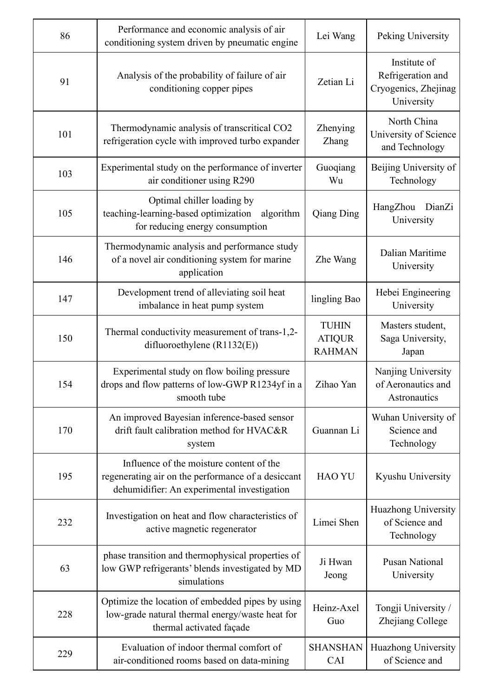| 86  | Performance and economic analysis of air<br>conditioning system driven by pneumatic engine                                                    | Lei Wang                                       | Peking University                                                       |
|-----|-----------------------------------------------------------------------------------------------------------------------------------------------|------------------------------------------------|-------------------------------------------------------------------------|
| 91  | Analysis of the probability of failure of air<br>conditioning copper pipes                                                                    | Zetian Li                                      | Institute of<br>Refrigeration and<br>Cryogenics, Zhejinag<br>University |
| 101 | Thermodynamic analysis of transcritical CO2<br>refrigeration cycle with improved turbo expander                                               | Zhenying<br>Zhang                              | North China<br>University of Science<br>and Technology                  |
| 103 | Experimental study on the performance of inverter<br>air conditioner using R290                                                               | Guoqiang<br>Wu                                 | Beijing University of<br>Technology                                     |
| 105 | Optimal chiller loading by<br>teaching-learning-based optimization<br>algorithm<br>for reducing energy consumption                            | Qiang Ding                                     | HangZhou<br>DianZi<br>University                                        |
| 146 | Thermodynamic analysis and performance study<br>of a novel air conditioning system for marine<br>application                                  | Zhe Wang                                       | Dalian Maritime<br>University                                           |
| 147 | Development trend of alleviating soil heat<br>imbalance in heat pump system                                                                   | lingling Bao                                   | Hebei Engineering<br>University                                         |
| 150 | Thermal conductivity measurement of trans-1,2-<br>difluoroethylene (R1132(E))                                                                 | <b>TUHIN</b><br><b>ATIQUR</b><br><b>RAHMAN</b> | Masters student,<br>Saga University,<br>Japan                           |
| 154 | Experimental study on flow boiling pressure<br>drops and flow patterns of low-GWP R1234yf in a<br>smooth tube                                 | Zihao Yan                                      | Nanjing University<br>of Aeronautics and<br>Astronautics                |
| 170 | An improved Bayesian inference-based sensor<br>drift fault calibration method for HVAC&R<br>system                                            | Guannan Li                                     | Wuhan University of<br>Science and<br>Technology                        |
| 195 | Influence of the moisture content of the<br>regenerating air on the performance of a desiccant<br>dehumidifier: An experimental investigation | <b>HAO YU</b>                                  | Kyushu University                                                       |
| 232 | Investigation on heat and flow characteristics of<br>active magnetic regenerator                                                              | Limei Shen                                     | Huazhong University<br>of Science and<br>Technology                     |
| 63  | phase transition and thermophysical properties of<br>low GWP refrigerants' blends investigated by MD<br>simulations                           | Ji Hwan<br>Jeong                               | <b>Pusan National</b><br>University                                     |
| 228 | Optimize the location of embedded pipes by using<br>low-grade natural thermal energy/waste heat for<br>thermal activated façade               | Heinz-Axel<br>Guo                              | Tongji University /<br>Zhejiang College                                 |
| 229 | Evaluation of indoor thermal comfort of<br>air-conditioned rooms based on data-mining                                                         | <b>SHANSHAN</b><br>CAI                         | Huazhong University<br>of Science and                                   |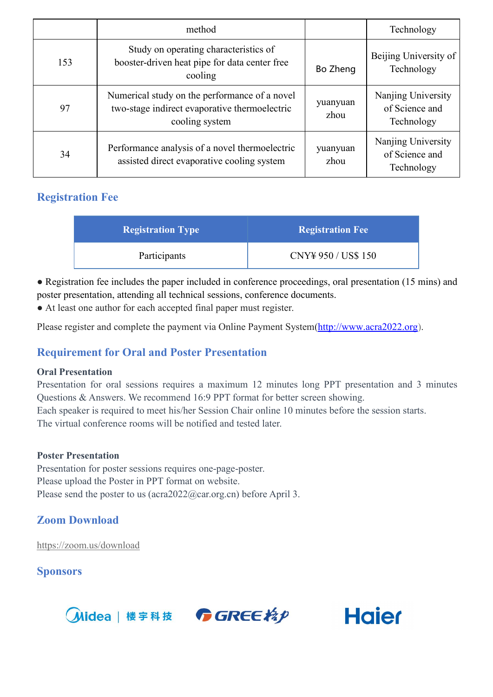|     | method                                                                                                           |                  | Technology                                         |
|-----|------------------------------------------------------------------------------------------------------------------|------------------|----------------------------------------------------|
| 153 | Study on operating characteristics of<br>booster-driven heat pipe for data center free<br>cooling                | Bo Zheng         | Beijing University of<br>Technology                |
| 97  | Numerical study on the performance of a novel<br>two-stage indirect evaporative thermoelectric<br>cooling system | yuanyuan<br>zhou | Nanjing University<br>of Science and<br>Technology |
| 34  | Performance analysis of a novel thermoelectric<br>assisted direct evaporative cooling system                     | yuanyuan<br>zhou | Nanjing University<br>of Science and<br>Technology |

## **Registration Fee**

| <b>Registration Type</b> | <b>Registration Fee</b> |
|--------------------------|-------------------------|
| Participants             | CNY¥ 950 / US\$ 150     |

• Registration fee includes the paper included in conference proceedings, oral presentation (15 mins) and poster presentation, attending all technical sessions, conference documents.

● At least one author for each accepted final paper must register.

Please register and complete the payment via Online [Payment](http://www.zmeeting.org/register/icrom2022) System[\(http://www.acra2022.org\)](http://www.acra2022.org).

## **Requirement for Oral and Poster Presentation**

#### **Oral Presentation**

Presentation for oral sessions requires a maximum 12 minutes long PPT presentation and 3 minutes Questions & Answers. We recommend 16:9 PPT format for better screen showing. Each speaker is required to meet his/her Session Chair online 10 minutes before the session starts. The virtual conference rooms will be notified and tested later.

#### **Poster Presentation**

Presentation for poster sessions requires one-page-poster. Please upload the Poster in PPT format on website. Please send the poster to us ( $\arctan 2022$  ( $\arctan 2$ ) before April 3.

## **Zoom Download**

<https://zoom.us/download>

**Sponsors**